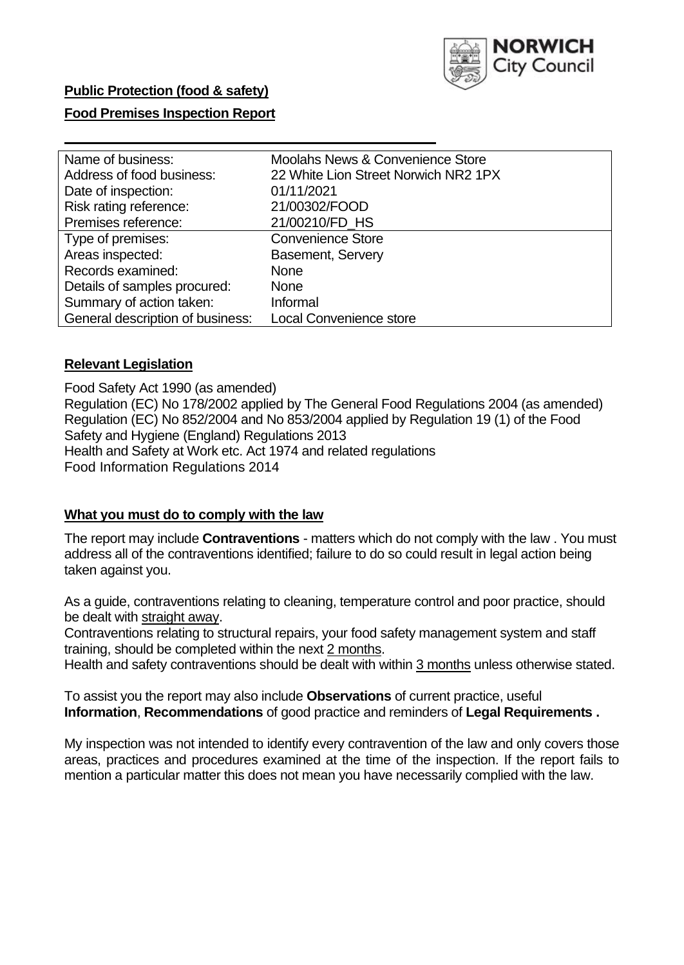

# **Food Premises Inspection Report**

| Name of business:                | <b>Moolahs News &amp; Convenience Store</b> |
|----------------------------------|---------------------------------------------|
| Address of food business:        | 22 White Lion Street Norwich NR2 1PX        |
| Date of inspection:              | 01/11/2021                                  |
| Risk rating reference:           | 21/00302/FOOD                               |
| Premises reference:              | 21/00210/FD_HS                              |
| Type of premises:                | <b>Convenience Store</b>                    |
| Areas inspected:                 | <b>Basement, Servery</b>                    |
| Records examined:                | <b>None</b>                                 |
| Details of samples procured:     | <b>None</b>                                 |
| Summary of action taken:         | Informal                                    |
| General description of business: | <b>Local Convenience store</b>              |

### **Relevant Legislation**

 Food Safety Act 1990 (as amended) Regulation (EC) No 178/2002 applied by The General Food Regulations 2004 (as amended) Regulation (EC) No 852/2004 and No 853/2004 applied by Regulation 19 (1) of the Food Safety and Hygiene (England) Regulations 2013 Health and Safety at Work etc. Act 1974 and related regulations Food Information Regulations 2014

### **What you must do to comply with the law**

 The report may include **Contraventions** - matters which do not comply with the law . You must address all of the contraventions identified; failure to do so could result in legal action being taken against you.

 As a guide, contraventions relating to cleaning, temperature control and poor practice, should be dealt with straight away.

 Contraventions relating to structural repairs, your food safety management system and staff training, should be completed within the next 2 months.

Health and safety contraventions should be dealt with within 3 months unless otherwise stated.

 To assist you the report may also include **Observations** of current practice, useful **Information**, **Recommendations** of good practice and reminders of **Legal Requirements .** 

 My inspection was not intended to identify every contravention of the law and only covers those areas, practices and procedures examined at the time of the inspection. If the report fails to mention a particular matter this does not mean you have necessarily complied with the law.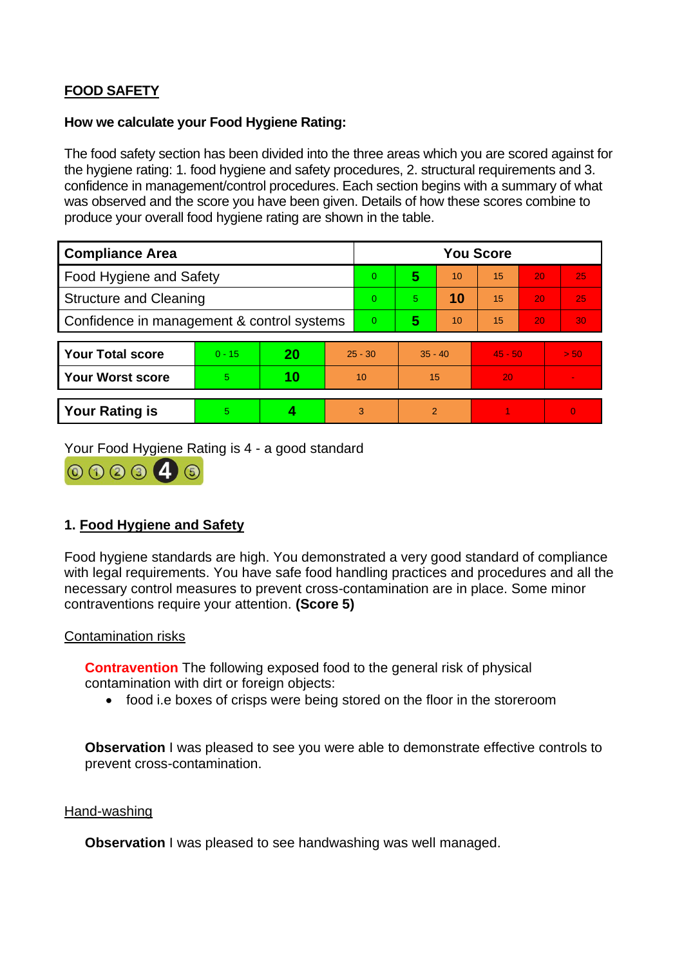# **FOOD SAFETY**

## **How we calculate your Food Hygiene Rating:**

 The food safety section has been divided into the three areas which you are scored against for the hygiene rating: 1. food hygiene and safety procedures, 2. structural requirements and 3. confidence in management/control procedures. Each section begins with a summary of what was observed and the score you have been given. Details of how these scores combine to produce your overall food hygiene rating are shown in the table.

| <b>Compliance Area</b>                     |          |    |           | <b>You Score</b> |                |    |           |    |                |  |  |
|--------------------------------------------|----------|----|-----------|------------------|----------------|----|-----------|----|----------------|--|--|
| Food Hygiene and Safety                    |          |    |           | $\overline{0}$   | 5              | 10 | 15        | 20 | 25             |  |  |
| <b>Structure and Cleaning</b>              |          |    |           | $\Omega$         | 5.             | 10 | 15        | 20 | 25             |  |  |
| Confidence in management & control systems |          |    | $\Omega$  | 5                | 10             | 15 | 20        | 30 |                |  |  |
|                                            |          |    |           |                  |                |    |           |    |                |  |  |
| <b>Your Total score</b>                    | $0 - 15$ | 20 | $25 - 30$ |                  | $35 - 40$      |    | $45 - 50$ |    | > 50           |  |  |
| <b>Your Worst score</b>                    | 5        | 10 | 10        |                  | 15             |    | 20        |    | $\blacksquare$ |  |  |
|                                            |          |    |           |                  |                |    |           |    |                |  |  |
| <b>Your Rating is</b>                      | 5        |    |           | 3                | $\overline{2}$ |    |           |    | $\overline{0}$ |  |  |

Your Food Hygiene Rating is 4 - a good standard



# **1. Food Hygiene and Safety**

 with legal requirements. You have safe food handling practices and procedures and all the Food hygiene standards are high. You demonstrated a very good standard of compliance necessary control measures to prevent cross-contamination are in place. Some minor contraventions require your attention. **(Score 5)** 

# Contamination risks

 **Contravention** The following exposed food to the general risk of physical contamination with dirt or foreign objects:

• food i.e boxes of crisps were being stored on the floor in the storeroom

**Observation** I was pleased to see you were able to demonstrate effective controls to prevent cross-contamination.

#### Hand-washing

**Observation** I was pleased to see handwashing was well managed.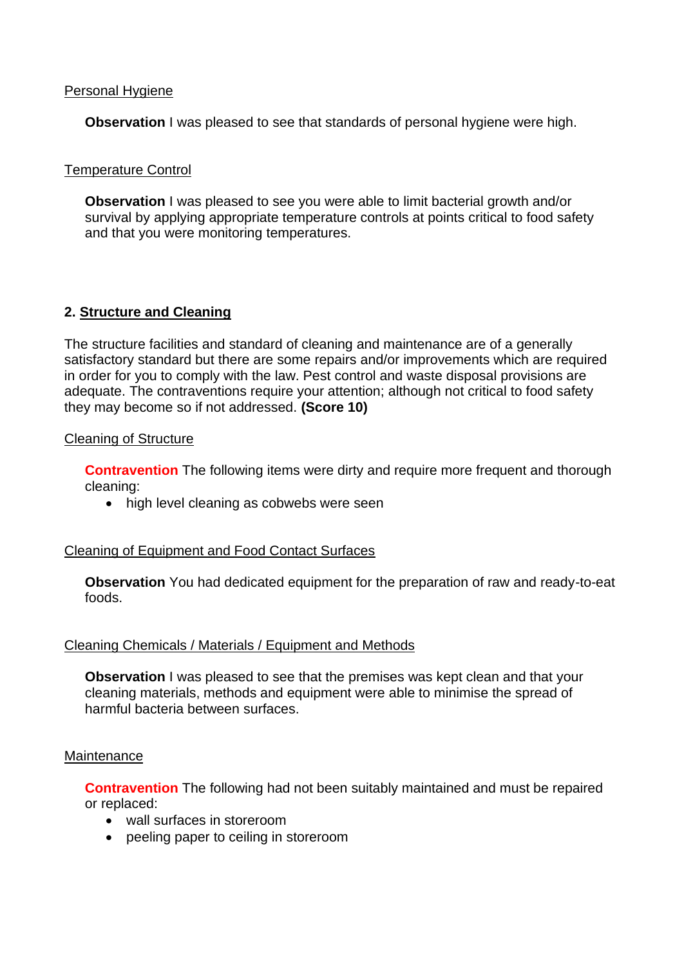## Personal Hygiene

**Observation** I was pleased to see that standards of personal hygiene were high.

# Temperature Control

**Observation** I was pleased to see you were able to limit bacterial growth and/or survival by applying appropriate temperature controls at points critical to food safety and that you were monitoring temperatures.

# **2. Structure and Cleaning**

The structure facilities and standard of cleaning and maintenance are of a generally satisfactory standard but there are some repairs and/or improvements which are required in order for you to comply with the law. Pest control and waste disposal provisions are adequate. The contraventions require your attention; although not critical to food safety they may become so if not addressed. **(Score 10)** 

### Cleaning of Structure

**Contravention** The following items were dirty and require more frequent and thorough cleaning:

• high level cleaning as cobwebs were seen

# Cleaning of Equipment and Food Contact Surfaces

 **Observation** You had dedicated equipment for the preparation of raw and ready-to-eat foods.

#### Cleaning Chemicals / Materials / Equipment and Methods

**Observation** I was pleased to see that the premises was kept clean and that your cleaning materials, methods and equipment were able to minimise the spread of harmful bacteria between surfaces.

#### **Maintenance**

**Contravention** The following had not been suitably maintained and must be repaired or replaced:

- wall surfaces in storeroom
- peeling paper to ceiling in storeroom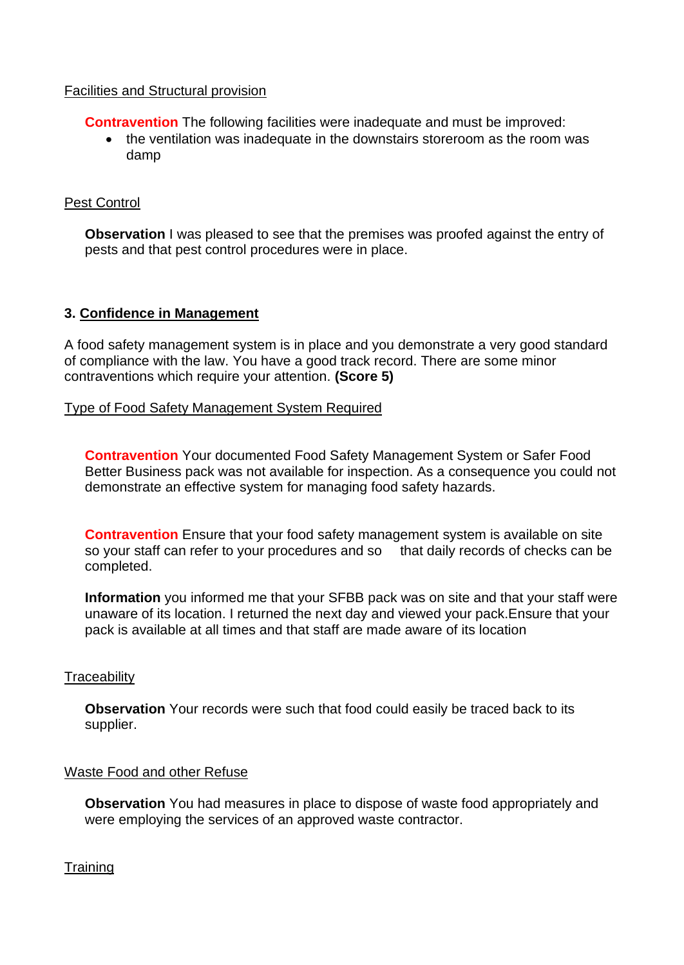# Facilities and Structural provision

**Contravention** The following facilities were inadequate and must be improved:

• the ventilation was inadequate in the downstairs storeroom as the room was damp

## Pest Control

**Observation** I was pleased to see that the premises was proofed against the entry of pests and that pest control procedures were in place.

### **3. Confidence in Management**

A food safety management system is in place and you demonstrate a very good standard of compliance with the law. You have a good track record. There are some minor contraventions which require your attention. **(Score 5)** 

### Type of Food Safety Management System Required

 demonstrate an effective system for managing food safety hazards. **Contravention** Your documented Food Safety Management System or Safer Food Better Business pack was not available for inspection. As a consequence you could not

so your staff can refer to your procedures and so that daily records of checks can be **Contravention** Ensure that your food safety management system is available on site completed.

 pack is available at all times and that staff are made aware of its location **Information** you informed me that your SFBB pack was on site and that your staff were unaware of its location. I returned the next day and viewed your pack.Ensure that your

# **Traceability**

**Observation** Your records were such that food could easily be traced back to its supplier.

#### Waste Food and other Refuse

 **Observation** You had measures in place to dispose of waste food appropriately and were employing the services of an approved waste contractor.

**Training**